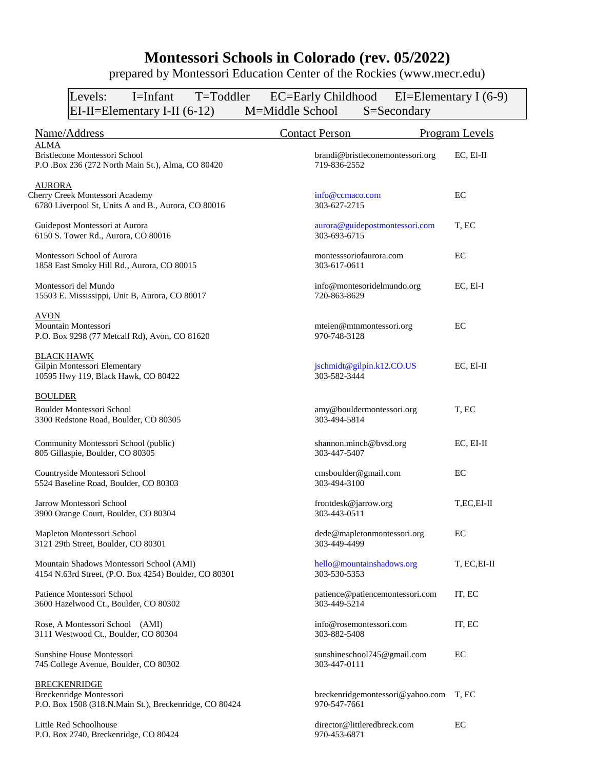## **Montessori Schools in Colorado (rev. 05/2022)**

prepared by Montessori Education Center of the Rockies (www.mecr.edu)

| T=Toddler<br>Levels:<br>I=Infant                                                   | EC=Early Childhood EI=Elementary I (6-9)         |                |
|------------------------------------------------------------------------------------|--------------------------------------------------|----------------|
| $EI-II = Elementary I-II (6-12)$                                                   | M=Middle School<br>S=Secondary                   |                |
| Name/Address                                                                       | <b>Contact Person</b>                            | Program Levels |
| ALMA                                                                               |                                                  |                |
| Bristlecone Montessori School<br>P.O .Box 236 (272 North Main St.), Alma, CO 80420 | brandi@bristleconemontessori.org<br>719-836-2552 | $EC, El-II$    |
| <b>AURORA</b>                                                                      |                                                  |                |
| Cherry Creek Montessori Academy                                                    | info@ccmaco.com                                  | EC             |
| 6780 Liverpool St, Units A and B., Aurora, CO 80016                                | 303-627-2715                                     |                |
| Guidepost Montessori at Aurora                                                     | aurora@guidepostmontessori.com                   | T, EC          |
| 6150 S. Tower Rd., Aurora, CO 80016                                                | 303-693-6715                                     |                |
| Montessori School of Aurora                                                        | montesssoriofaurora.com                          | EC             |
| 1858 East Smoky Hill Rd., Aurora, CO 80015                                         | 303-617-0611                                     |                |
| Montessori del Mundo                                                               | info@montesoridelmundo.org                       | EC, El-I       |
| 15503 E. Mississippi, Unit B, Aurora, CO 80017                                     | 720-863-8629                                     |                |
| <b>AVON</b>                                                                        |                                                  |                |
| Mountain Montessori                                                                | mteien@mtnmontessori.org                         | EC             |
| P.O. Box 9298 (77 Metcalf Rd), Avon, CO 81620                                      | 970-748-3128                                     |                |
| <b>BLACK HAWK</b>                                                                  |                                                  |                |
| Gilpin Montessori Elementary                                                       | jschmidt@gilpin.k12.CO.US                        | EC, El-II      |
| 10595 Hwy 119, Black Hawk, CO 80422                                                | 303-582-3444                                     |                |
| <b>BOULDER</b>                                                                     |                                                  |                |
| <b>Boulder Montessori School</b>                                                   | amy@bouldermontessori.org                        | T, EC          |
| 3300 Redstone Road, Boulder, CO 80305                                              | 303-494-5814                                     |                |
| Community Montessori School (public)                                               | shannon.minch@bvsd.org                           | EC, EI-II      |
| 805 Gillaspie, Boulder, CO 80305                                                   | 303-447-5407                                     |                |
| Countryside Montessori School                                                      | cmsboulder@gmail.com                             | EC             |
| 5524 Baseline Road, Boulder, CO 80303                                              | 303-494-3100                                     |                |
| Jarrow Montessori School                                                           | frontdesk@jarrow.org                             | T,EC,EI-II     |
| 3900 Orange Court, Boulder, CO 80304                                               | 303-443-0511                                     |                |
| Mapleton Montessori School                                                         | dede@mapletonmontessori.org                      | EC             |
| 3121 29th Street, Boulder, CO 80301                                                | 303-449-4499                                     |                |
| Mountain Shadows Montessori School (AMI)                                           | hello@mountainshadows.org                        | T, EC, EI-II   |
| 4154 N.63rd Street, (P.O. Box 4254) Boulder, CO 80301                              | 303-530-5353                                     |                |
| Patience Montessori School                                                         | patience@patiencemontessori.com                  | IT, EC         |
| 3600 Hazelwood Ct., Boulder, CO 80302                                              | 303-449-5214                                     |                |
| Rose, A Montessori School (AMI)                                                    | info@rosemontessori.com                          | IT, EC         |
| 3111 Westwood Ct., Boulder, CO 80304                                               | 303-882-5408                                     |                |
| Sunshine House Montessori                                                          | sunshineschool745@gmail.com                      | EC             |
| 745 College Avenue, Boulder, CO 80302                                              | 303-447-0111                                     |                |
| <b>BRECKENRIDGE</b>                                                                |                                                  |                |
| Breckenridge Montessori                                                            | breckenridgemontessori@yahoo.com                 | T. EC          |
| P.O. Box 1508 (318.N.Main St.), Breckenridge, CO 80424                             | 970-547-7661                                     |                |
| Little Red Schoolhouse                                                             | director@littleredbreck.com                      | EC             |

P.O. Box 2740, Breckenridge, CO 80424 970-453-6871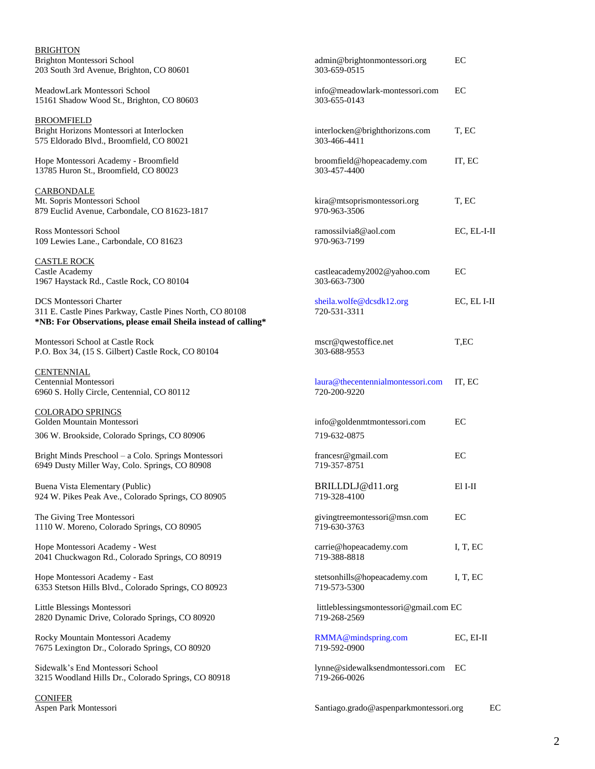| <b>BRIGHTON</b><br>Brighton Montessori School<br>203 South 3rd Avenue, Brighton, CO 80601                                                                    | admin@brightonmontessori.org<br>303-659-0515           | EC          |
|--------------------------------------------------------------------------------------------------------------------------------------------------------------|--------------------------------------------------------|-------------|
| MeadowLark Montessori School<br>15161 Shadow Wood St., Brighton, CO 80603                                                                                    | info@meadowlark-montessori.com<br>303-655-0143         | EC          |
| <b>BROOMFIELD</b><br>Bright Horizons Montessori at Interlocken<br>575 Eldorado Blvd., Broomfield, CO 80021                                                   | interlocken@brighthorizons.com<br>303-466-4411         | T, EC       |
| Hope Montessori Academy - Broomfield<br>13785 Huron St., Broomfield, CO 80023                                                                                | broomfield@hopeacademy.com<br>303-457-4400             | IT, EC      |
| <b>CARBONDALE</b><br>Mt. Sopris Montessori School<br>879 Euclid Avenue, Carbondale, CO 81623-1817                                                            | kira@mtsoprismontessori.org<br>970-963-3506            | T, EC       |
| Ross Montessori School<br>109 Lewies Lane., Carbondale, CO 81623                                                                                             | ramossilvia8@aol.com<br>970-963-7199                   | EC, EL-I-II |
| <b>CASTLE ROCK</b><br>Castle Academy<br>1967 Haystack Rd., Castle Rock, CO 80104                                                                             | castleacademy2002@yahoo.com<br>303-663-7300            | EС          |
| <b>DCS</b> Montessori Charter<br>311 E. Castle Pines Parkway, Castle Pines North, CO 80108<br>*NB: For Observations, please email Sheila instead of calling* | sheila.wolfe@dcsdk12.org<br>720-531-3311               | EC, EL I-II |
| Montessori School at Castle Rock<br>P.O. Box 34, (15 S. Gilbert) Castle Rock, CO 80104                                                                       | mscr@qwestoffice.net<br>303-688-9553                   | T,EC        |
| <b>CENTENNIAL</b><br>Centennial Montessori<br>6960 S. Holly Circle, Centennial, CO 80112                                                                     | laura@thecentennialmontessori.com<br>720-200-9220      | IT, EC      |
| <b>COLORADO SPRINGS</b><br>Golden Mountain Montessori                                                                                                        | info@goldenmtmontessori.com                            | EC          |
| 306 W. Brookside, Colorado Springs, CO 80906                                                                                                                 | 719-632-0875                                           |             |
| Bright Minds Preschool – a Colo. Springs Montessori<br>6949 Dusty Miller Way, Colo. Springs, CO 80908                                                        | francesr@gmail.com<br>719-357-8751                     | EC          |
| Buena Vista Elementary (Public)<br>924 W. Pikes Peak Ave., Colorado Springs, CO 80905                                                                        | BRILLDLJ@d11.org<br>719-328-4100                       | El I-II     |
| The Giving Tree Montessori<br>1110 W. Moreno, Colorado Springs, CO 80905                                                                                     | givingtreemontessori@msn.com<br>719-630-3763           | EС          |
| Hope Montessori Academy - West<br>2041 Chuckwagon Rd., Colorado Springs, CO 80919                                                                            | carrie@hopeacademy.com<br>719-388-8818                 | I, T, EC    |
| Hope Montessori Academy - East<br>6353 Stetson Hills Blvd., Colorado Springs, CO 80923                                                                       | stetsonhills@hopeacademy.com<br>719-573-5300           | I, T, EC    |
| Little Blessings Montessori<br>2820 Dynamic Drive, Colorado Springs, CO 80920                                                                                | littleblessingsmontessori@gmail.com EC<br>719-268-2569 |             |
| Rocky Mountain Montessori Academy<br>7675 Lexington Dr., Colorado Springs, CO 80920                                                                          | RMMA@mindspring.com<br>719-592-0900                    | EC, EI-II   |
| Sidewalk's End Montessori School<br>3215 Woodland Hills Dr., Colorado Springs, CO 80918                                                                      | lynne@sidewalksendmontessori.com<br>719-266-0026       | EC          |
| <b>CONIFER</b><br>Aspen Park Montessori                                                                                                                      | Santiago.grado@aspenparkmontessori.org<br>EC           |             |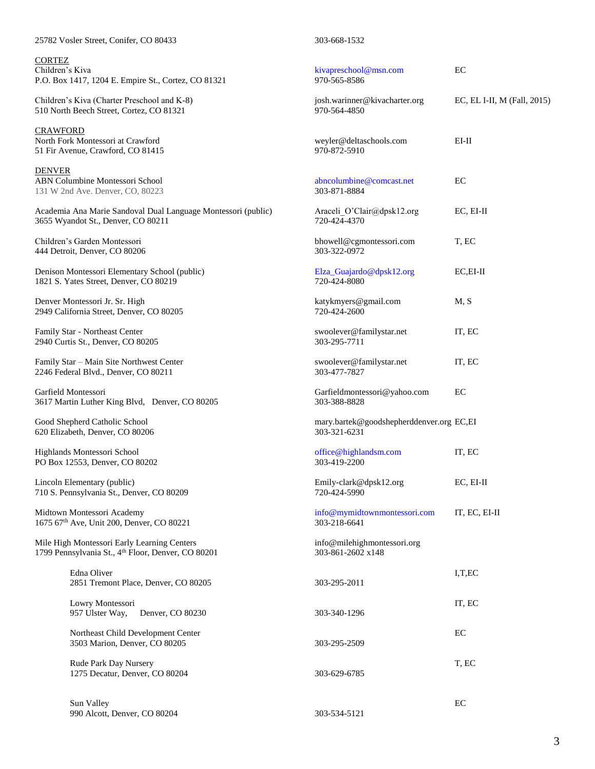| 25782 Vosler Street, Conifer, CO 80433                                                              | 303-668-1532                                             |                             |
|-----------------------------------------------------------------------------------------------------|----------------------------------------------------------|-----------------------------|
| <b>CORTEZ</b><br>Children's Kiva<br>P.O. Box 1417, 1204 E. Empire St., Cortez, CO 81321             | kivapreschool@msn.com<br>970-565-8586                    | EC                          |
| Children's Kiva (Charter Preschool and K-8)<br>510 North Beech Street, Cortez, CO 81321             | josh.warinner@kivacharter.org<br>970-564-4850            | EC, EL I-II, M (Fall, 2015) |
| <b>CRAWFORD</b><br>North Fork Montessori at Crawford<br>51 Fir Avenue, Crawford, CO 81415           | weyler@deltaschools.com<br>970-872-5910                  | $EI-II$                     |
| <b>DENVER</b><br>ABN Columbine Montessori School<br>131 W 2nd Ave. Denver, CO, 80223                | abncolumbine@comcast.net<br>303-871-8884                 | EC                          |
| Academia Ana Marie Sandoval Dual Language Montessori (public)<br>3655 Wyandot St., Denver, CO 80211 | Araceli O'Clair@dpsk12.org<br>720-424-4370               | EC, EI-II                   |
| Children's Garden Montessori<br>444 Detroit, Denver, CO 80206                                       | bhowell@cgmontessori.com<br>303-322-0972                 | T, EC                       |
| Denison Montessori Elementary School (public)<br>1821 S. Yates Street, Denver, CO 80219             | Elza_Guajardo@dpsk12.org<br>720-424-8080                 | $EC.EI-II$                  |
| Denver Montessori Jr. Sr. High<br>2949 California Street, Denver, CO 80205                          | katykmyers@gmail.com<br>720-424-2600                     | M, S                        |
| Family Star - Northeast Center<br>2940 Curtis St., Denver, CO 80205                                 | swoolever@familystar.net<br>303-295-7711                 | IT, EC                      |
| Family Star - Main Site Northwest Center<br>2246 Federal Blvd., Denver, CO 80211                    | swoolever@familystar.net<br>303-477-7827                 | IT, EC                      |
| Garfield Montessori<br>3617 Martin Luther King Blvd, Denver, CO 80205                               | Garfieldmontessori@yahoo.com<br>303-388-8828             | EC                          |
| Good Shepherd Catholic School<br>620 Elizabeth, Denver, CO 80206                                    | mary.bartek@goodshepherddenver.org EC,EI<br>303-321-6231 |                             |
| Highlands Montessori School<br>PO Box 12553, Denver, CO 80202                                       | office@highlandsm.com<br>303-419-2200                    | IT, EC                      |
| Lincoln Elementary (public)<br>710 S. Pennsylvania St., Denver, CO 80209                            | Emily-clark@dpsk12.org<br>720-424-5990                   | EC, EI-II                   |
| Midtown Montessori Academy<br>1675 67th Ave, Unit 200, Denver, CO 80221                             | info@mymidtownmontessori.com<br>303-218-6641             | IT, EC, EI-II               |
| Mile High Montessori Early Learning Centers<br>1799 Pennsylvania St., 4th Floor, Denver, CO 80201   | info@milehighmontessori.org<br>303-861-2602 x148         |                             |
| Edna Oliver<br>2851 Tremont Place, Denver, CO 80205                                                 | 303-295-2011                                             | I, T, EC                    |
| Lowry Montessori<br>957 Ulster Way,<br>Denver, CO 80230                                             | 303-340-1296                                             | IT, EC                      |
| Northeast Child Development Center<br>3503 Marion, Denver, CO 80205                                 | 303-295-2509                                             | EC                          |
| Rude Park Day Nursery<br>1275 Decatur, Denver, CO 80204                                             | 303-629-6785                                             | T, EC                       |
| Sun Valley<br>990 Alcott, Denver, CO 80204                                                          | 303-534-5121                                             | EC                          |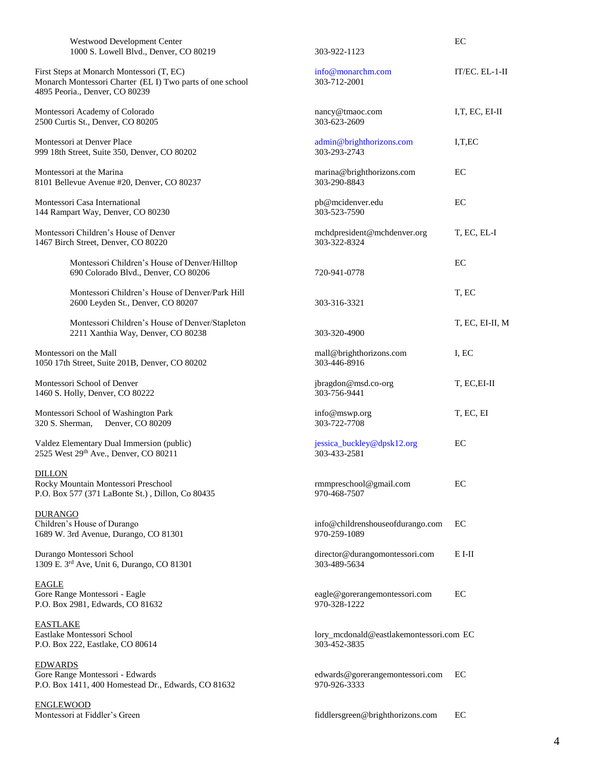| Westwood Development Center<br>1000 S. Lowell Blvd., Denver, CO 80219                                                                    | 303-922-1123                                            | EC              |
|------------------------------------------------------------------------------------------------------------------------------------------|---------------------------------------------------------|-----------------|
| First Steps at Monarch Montessori (T, EC)<br>Monarch Montessori Charter (EL I) Two parts of one school<br>4895 Peoria., Denver, CO 80239 | info@monarchm.com<br>303-712-2001                       | IT/EC. EL-1-II  |
| Montessori Academy of Colorado<br>2500 Curtis St., Denver, CO 80205                                                                      | nancy@tmaoc.com<br>303-623-2609                         | I,T, EC, EI-II  |
| Montessori at Denver Place<br>999 18th Street, Suite 350, Denver, CO 80202                                                               | admin@brighthorizons.com<br>303-293-2743                | I, T, EC        |
| Montessori at the Marina<br>8101 Bellevue Avenue #20, Denver, CO 80237                                                                   | marina@brighthorizons.com<br>303-290-8843               | EС              |
| Montessori Casa International<br>144 Rampart Way, Denver, CO 80230                                                                       | pb@mcidenver.edu<br>303-523-7590                        | EC              |
| Montessori Children's House of Denver<br>1467 Birch Street, Denver, CO 80220                                                             | mchdpresident@mchdenver.org<br>303-322-8324             | T, EC, EL-I     |
| Montessori Children's House of Denver/Hilltop<br>690 Colorado Blvd., Denver, CO 80206                                                    | 720-941-0778                                            | EC              |
| Montessori Children's House of Denver/Park Hill<br>2600 Leyden St., Denver, CO 80207                                                     | 303-316-3321                                            | T, EC           |
| Montessori Children's House of Denver/Stapleton<br>2211 Xanthia Way, Denver, CO 80238                                                    | 303-320-4900                                            | T, EC, EI-II, M |
| Montessori on the Mall<br>1050 17th Street, Suite 201B, Denver, CO 80202                                                                 | mall@brighthorizons.com<br>303-446-8916                 | I, EC           |
| Montessori School of Denver<br>1460 S. Holly, Denver, CO 80222                                                                           | jbragdon@msd.co-org<br>303-756-9441                     | T, EC, EI-II    |
| Montessori School of Washington Park<br>Denver, CO 80209<br>320 S. Sherman,                                                              | info@mswp.org<br>303-722-7708                           | T, EC, EI       |
| Valdez Elementary Dual Immersion (public)<br>2525 West 29th Ave., Denver, CO 80211                                                       | jessica_buckley@dpsk12.org<br>303-433-2581              | EC              |
| <b>DILLON</b><br>Rocky Mountain Montessori Preschool<br>P.O. Box 577 (371 LaBonte St.), Dillon, Co 80435                                 | rmmpreschool@gmail.com<br>970-468-7507                  | EС              |
| <b>DURANGO</b><br>Children's House of Durango<br>1689 W. 3rd Avenue, Durango, CO 81301                                                   | info@childrenshouseofdurango.com<br>970-259-1089        | EC              |
| Durango Montessori School<br>1309 E. 3rd Ave, Unit 6, Durango, CO 81301                                                                  | director@durangomontessori.com<br>303-489-5634          | $E I-II$        |
| <b>EAGLE</b><br>Gore Range Montessori - Eagle<br>P.O. Box 2981, Edwards, CO 81632                                                        | eagle@gorerangemontessori.com<br>970-328-1222           | EC              |
| <b>EASTLAKE</b><br>Eastlake Montessori School<br>P.O. Box 222, Eastlake, CO 80614                                                        | lory_mcdonald@eastlakemontessori.com EC<br>303-452-3835 |                 |
| <b>EDWARDS</b><br>Gore Range Montessori - Edwards<br>P.O. Box 1411, 400 Homestead Dr., Edwards, CO 81632                                 | edwards@gorerangemontessori.com<br>970-926-3333         | EC              |
| <u>ENGLEWOOD</u><br>Montessori at Fiddler's Green                                                                                        | fiddlersgreen@brighthorizons.com                        | EC              |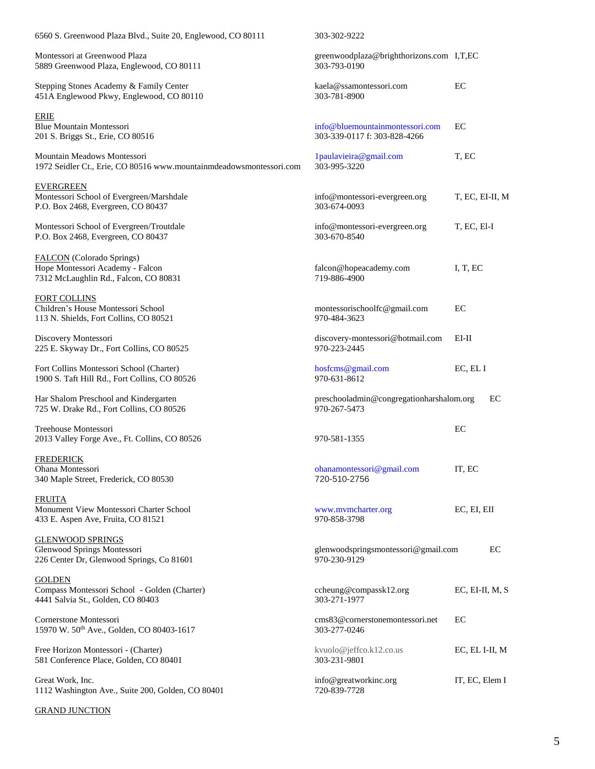| 6560 S. Greenwood Plaza Blvd., Suite 20, Englewood, CO 80111                                           | 303-302-9222                                                    |                 |
|--------------------------------------------------------------------------------------------------------|-----------------------------------------------------------------|-----------------|
| Montessori at Greenwood Plaza<br>5889 Greenwood Plaza, Englewood, CO 80111                             | greenwoodplaza@brighthorizons.com I,T,EC<br>303-793-0190        |                 |
| Stepping Stones Academy & Family Center<br>451A Englewood Pkwy, Englewood, CO 80110                    | kaela@ssamontessori.com<br>303-781-8900                         | EС              |
| <b>ERIE</b><br><b>Blue Mountain Montessori</b><br>201 S. Briggs St., Erie, CO 80516                    | info@bluemountainmontessori.com<br>303-339-0117 f: 303-828-4266 | EC              |
| Mountain Meadows Montessori<br>1972 Seidler Ct., Erie, CO 80516 www.mountainmdeadowsmontessori.com     | 1paulavieira@gmail.com<br>303-995-3220                          | T, EC           |
| <b>EVERGREEN</b><br>Montessori School of Evergreen/Marshdale<br>P.O. Box 2468, Evergreen, CO 80437     | info@montessori-evergreen.org<br>303-674-0093                   | T, EC, EI-II, M |
| Montessori School of Evergreen/Troutdale<br>P.O. Box 2468, Evergreen, CO 80437                         | info@montessori-evergreen.org<br>303-670-8540                   | T, EC, El-I     |
| FALCON (Colorado Springs)<br>Hope Montessori Academy - Falcon<br>7312 McLaughlin Rd., Falcon, CO 80831 | falcon@hopeacademy.com<br>719-886-4900                          | I, T, EC        |
| <b>FORT COLLINS</b><br>Children's House Montessori School<br>113 N. Shields, Fort Collins, CO 80521    | montessorischoolfc@gmail.com<br>970-484-3623                    | EC              |
| Discovery Montessori<br>225 E. Skyway Dr., Fort Collins, CO 80525                                      | discovery-montessori@hotmail.com<br>970-223-2445                | EI-II           |
| Fort Collins Montessori School (Charter)<br>1900 S. Taft Hill Rd., Fort Collins, CO 80526              | hosfcms@gmail.com<br>970-631-8612                               | EC, EL I        |
| Har Shalom Preschool and Kindergarten<br>725 W. Drake Rd., Fort Collins, CO 80526                      | preschooladmin@congregationharshalom.org<br>970-267-5473        | EC              |
| Treehouse Montessori<br>2013 Valley Forge Ave., Ft. Collins, CO 80526                                  | 970-581-1355                                                    | EC              |
| <b>FREDERICK</b><br>Ohana Montessori<br>340 Maple Street, Frederick, CO 80530                          | ohanamontessori@gmail.com<br>720-510-2756                       | IT, EC          |
| <b>FRUITA</b><br>Monument View Montessori Charter School<br>433 E. Aspen Ave, Fruita, CO 81521         | www.mvmcharter.org<br>970-858-3798                              | EC, EI, EII     |
| <b>GLENWOOD SPRINGS</b><br>Glenwood Springs Montessori<br>226 Center Dr, Glenwood Springs, Co 81601    | glenwoodspringsmontessori@gmail.com<br>970-230-9129             | EC              |
| <b>GOLDEN</b><br>Compass Montessori School - Golden (Charter)<br>4441 Salvia St., Golden, CO 80403     | ccheung@compassk12.org<br>303-271-1977                          | EC, EI-II, M, S |
| Cornerstone Montessori<br>15970 W. 50th Ave., Golden, CO 80403-1617                                    | cms83@cornerstonemontessori.net<br>303-277-0246                 | EC              |
| Free Horizon Montessori - (Charter)<br>581 Conference Place, Golden, CO 80401                          | kvuolo@jeffco.k12.co.us<br>303-231-9801                         | EC, EL I-II, M  |
| Great Work, Inc.<br>1112 Washington Ave., Suite 200, Golden, CO 80401                                  | info@greatworkinc.org<br>720-839-7728                           | IT, EC, Elem I  |

GRAND JUNCTION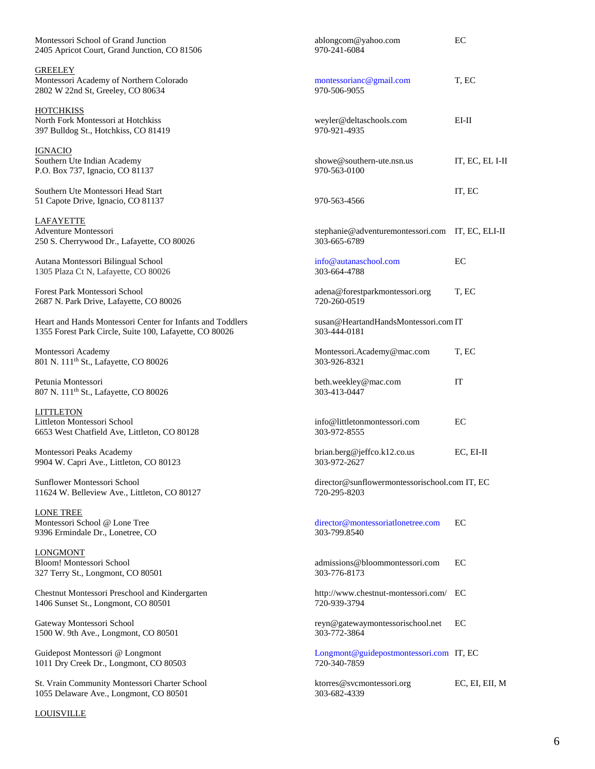| Montessori School of Grand Junction<br>2405 Apricot Court, Grand Junction, CO 81506                                   | ablongcom@yahoo.com<br>970-241-6084                              | EC              |
|-----------------------------------------------------------------------------------------------------------------------|------------------------------------------------------------------|-----------------|
| <b>GREELEY</b><br>Montessori Academy of Northern Colorado<br>2802 W 22nd St, Greeley, CO 80634                        | montessorianc@gmail.com<br>970-506-9055                          | T, EC           |
| <b>HOTCHKISS</b><br>North Fork Montessori at Hotchkiss<br>397 Bulldog St., Hotchkiss, CO 81419                        | weyler@deltaschools.com<br>970-921-4935                          | $EI-II$         |
| <b>IGNACIO</b><br>Southern Ute Indian Academy<br>P.O. Box 737, Ignacio, CO 81137                                      | showe@southern-ute.nsn.us<br>970-563-0100                        | IT, EC, EL I-II |
| Southern Ute Montessori Head Start<br>51 Capote Drive, Ignacio, CO 81137                                              | 970-563-4566                                                     | IT, EC          |
| LAFAYETTE<br>Adventure Montessori<br>250 S. Cherrywood Dr., Lafayette, CO 80026                                       | stephanie@adventuremontessori.com IT, EC, ELI-II<br>303-665-6789 |                 |
| Autana Montessori Bilingual School<br>1305 Plaza Ct N, Lafayette, CO 80026                                            | info@autanaschool.com<br>303-664-4788                            | EC              |
| Forest Park Montessori School<br>2687 N. Park Drive, Lafayette, CO 80026                                              | adena@forestparkmontessori.org<br>720-260-0519                   | T, EC           |
| Heart and Hands Montessori Center for Infants and Toddlers<br>1355 Forest Park Circle, Suite 100, Lafayette, CO 80026 | susan@HeartandHandsMontessori.com IT<br>303-444-0181             |                 |
| Montessori Academy<br>801 N. 111 <sup>th</sup> St., Lafayette, CO 80026                                               | Montessori.Academy@mac.com<br>303-926-8321                       | T, EC           |
| Petunia Montessori<br>807 N. 111 <sup>th</sup> St., Lafayette, CO 80026                                               | beth.weekley@mac.com<br>303-413-0447                             | IT              |
| <b>LITTLETON</b><br>Littleton Montessori School<br>6653 West Chatfield Ave, Littleton, CO 80128                       | info@littletonmontessori.com<br>303-972-8555                     | EC              |
| Montessori Peaks Academy<br>9904 W. Capri Ave., Littleton, CO 80123                                                   | brian.berg@jeffco.k12.co.us<br>303-972-2627                      | EC, EI-II       |
| Sunflower Montessori School<br>11624 W. Belleview Ave., Littleton, CO 80127                                           | director@sunflowermontessorischool.com IT, EC<br>720-295-8203    |                 |
| <b>LONE TREE</b><br>Montessori School @ Lone Tree<br>9396 Ermindale Dr., Lonetree, CO                                 | director@montessoriatlonetree.com<br>303-799.8540                | EC              |
| <b>LONGMONT</b><br>Bloom! Montessori School<br>327 Terry St., Longmont, CO 80501                                      | admissions@bloommontessori.com<br>303-776-8173                   | EC              |
| Chestnut Montessori Preschool and Kindergarten<br>1406 Sunset St., Longmont, CO 80501                                 | http://www.chestnut-montessori.com/<br>720-939-3794              | EC              |
| Gateway Montessori School<br>1500 W. 9th Ave., Longmont, CO 80501                                                     | reyn@gatewaymontessorischool.net<br>303-772-3864                 | EC              |
| Guidepost Montessori @ Longmont<br>1011 Dry Creek Dr., Longmont, CO 80503                                             | Longmont@guidepostmontessori.com IT, EC<br>720-340-7859          |                 |
| St. Vrain Community Montessori Charter School<br>1055 Delaware Ave., Longmont, CO 80501                               | ktorres@svcmontessori.org<br>303-682-4339                        | EC, EI, EII, M  |

## **LOUISVILLE**